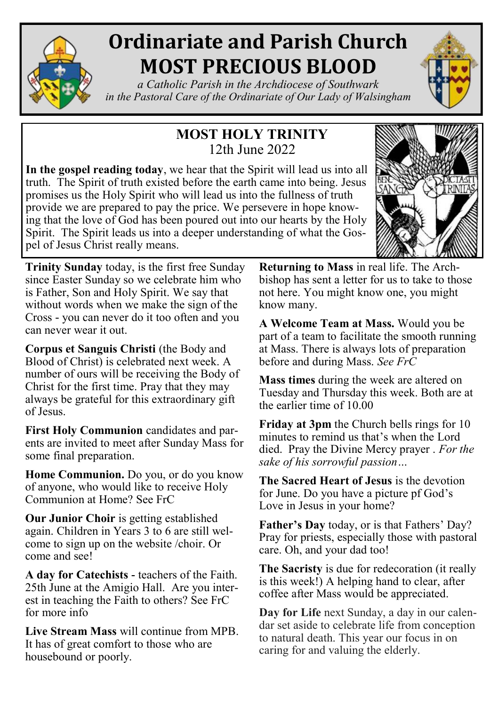

# **Ordinariate and Parish Church MOST PRECIOUS BLOOD**

*a Catholic Parish in the Archdiocese of Southwark in the Pastoral Care of the Ordinariate of Our Lady of Walsingham*

## **MOST HOLY TRINITY** 12th June 2022

**In the gospel reading today**, we hear that the Spirit will lead us into all truth. The Spirit of truth existed before the earth came into being. Jesus promises us the Holy Spirit who will lead us into the fullness of truth provide we are prepared to pay the price. We persevere in hope knowing that the love of God has been poured out into our hearts by the Holy Spirit. The Spirit leads us into a deeper understanding of what the Gospel of Jesus Christ really means.



**Trinity Sunday** today, is the first free Sunday since Easter Sunday so we celebrate him who is Father, Son and Holy Spirit. We say that without words when we make the sign of the Cross - you can never do it too often and you can never wear it out.

**Corpus et Sanguis Christi** (the Body and Blood of Christ) is celebrated next week. A number of ours will be receiving the Body of Christ for the first time. Pray that they may always be grateful for this extraordinary gift of Jesus.

**First Holy Communion** candidates and parents are invited to meet after Sunday Mass for some final preparation.

**Home Communion.** Do you, or do you know of anyone, who would like to receive Holy Communion at Home? See FrC

**Our Junior Choir** is getting established again. Children in Years 3 to 6 are still welcome to sign up on the website /choir. Or come and see!

**A day for Catechists -** teachers of the Faith. 25th June at the Amigio Hall. Are you interest in teaching the Faith to others? See FrC for more info

**Live Stream Mass** will continue from MPB. It has of great comfort to those who are housebound or poorly.

**Returning to Mass** in real life. The Archbishop has sent a letter for us to take to those not here. You might know one, you might know many.

**A Welcome Team at Mass.** Would you be part of a team to facilitate the smooth running at Mass. There is always lots of preparation before and during Mass. *See FrC* 

**Mass times** during the week are altered on Tuesday and Thursday this week. Both are at the earlier time of 10.00

**Friday at 3pm** the Church bells rings for 10 minutes to remind us that's when the Lord died. Pray the Divine Mercy prayer . *For the sake of his sorrowful passion…*

**The Sacred Heart of Jesus** is the devotion for June. Do you have a picture pf God's Love in Jesus in your home?

**Father's Day** today, or is that Fathers' Day? Pray for priests, especially those with pastoral care. Oh, and your dad too!

**The Sacristy** is due for redecoration (it really is this week!) A helping hand to clear, after coffee after Mass would be appreciated.

**Day for Life** next Sunday, a day in our calendar set aside to celebrate life from conception to natural death. This year our focus in on caring for and valuing the elderly.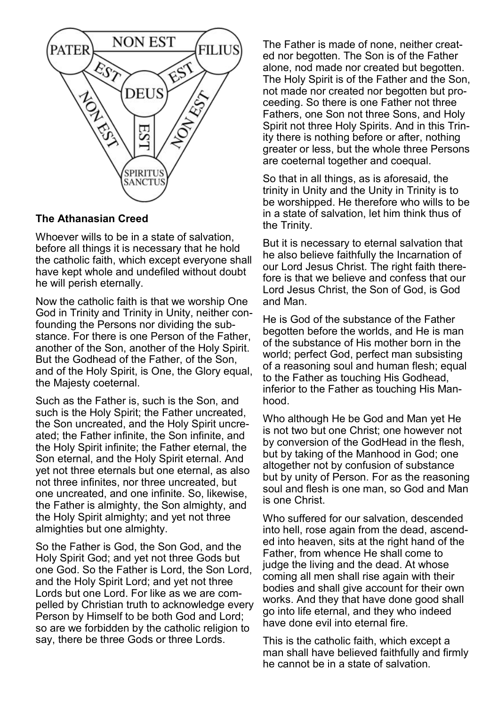

#### **The Athanasian Creed**

Whoever wills to be in a state of salvation, before all things it is necessary that he hold the catholic faith, which except everyone shall have kept whole and undefiled without doubt he will perish eternally.

Now the catholic faith is that we worship One God in Trinity and Trinity in Unity, neither confounding the Persons nor dividing the substance. For there is one Person of the Father, another of the Son, another of the Holy Spirit. But the Godhead of the Father, of the Son, and of the Holy Spirit, is One, the Glory equal, the Majesty coeternal.

Such as the Father is, such is the Son, and such is the Holy Spirit; the Father uncreated, the Son uncreated, and the Holy Spirit uncreated; the Father infinite, the Son infinite, and the Holy Spirit infinite; the Father eternal, the Son eternal, and the Holy Spirit eternal. And yet not three eternals but one eternal, as also not three infinites, nor three uncreated, but one uncreated, and one infinite. So, likewise, the Father is almighty, the Son almighty, and the Holy Spirit almighty; and yet not three almighties but one almighty.

So the Father is God, the Son God, and the Holy Spirit God; and yet not three Gods but one God. So the Father is Lord, the Son Lord, and the Holy Spirit Lord; and yet not three Lords but one Lord. For like as we are compelled by Christian truth to acknowledge every Person by Himself to be both God and Lord; so are we forbidden by the catholic religion to say, there be three Gods or three Lords.

The Father is made of none, neither created nor begotten. The Son is of the Father alone, nod made nor created but begotten. The Holy Spirit is of the Father and the Son, not made nor created nor begotten but proceeding. So there is one Father not three Fathers, one Son not three Sons, and Holy Spirit not three Holy Spirits. And in this Trinity there is nothing before or after, nothing greater or less, but the whole three Persons are coeternal together and coequal.

So that in all things, as is aforesaid, the trinity in Unity and the Unity in Trinity is to be worshipped. He therefore who wills to be in a state of salvation, let him think thus of the Trinity.

But it is necessary to eternal salvation that he also believe faithfully the Incarnation of our Lord Jesus Christ. The right faith therefore is that we believe and confess that our Lord Jesus Christ, the Son of God, is God and Man.

He is God of the substance of the Father begotten before the worlds, and He is man of the substance of His mother born in the world; perfect God, perfect man subsisting of a reasoning soul and human flesh; equal to the Father as touching His Godhead, inferior to the Father as touching His Manhood.

Who although He be God and Man yet He is not two but one Christ; one however not by conversion of the GodHead in the flesh, but by taking of the Manhood in God; one altogether not by confusion of substance but by unity of Person. For as the reasoning soul and flesh is one man, so God and Man is one Christ.

Who suffered for our salvation, descended into hell, rose again from the dead, ascended into heaven, sits at the right hand of the Father, from whence He shall come to judge the living and the dead. At whose coming all men shall rise again with their bodies and shall give account for their own works. And they that have done good shall go into life eternal, and they who indeed have done evil into eternal fire.

This is the catholic faith, which except a man shall have believed faithfully and firmly he cannot be in a state of salvation.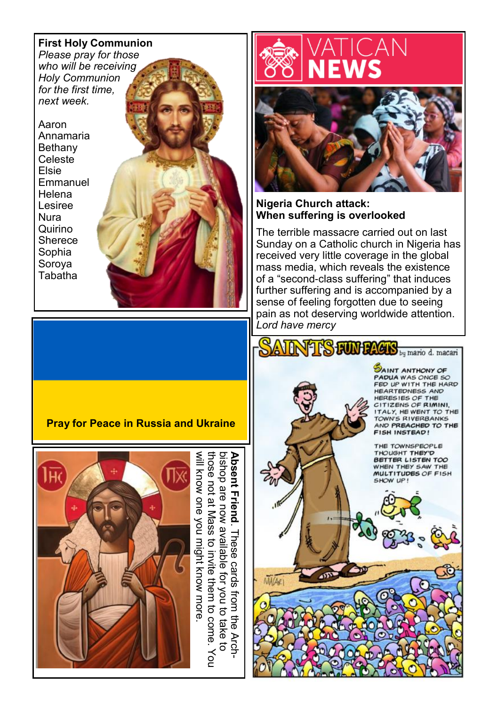#### **First Holy Communion**

*Please pray for those who will be receiving Holy Communion for the first time, next week.*

Aaron Annamaria Bethany Celeste Elsie Emmanuel Helena Lesiree Nura Quirino **Sherece** Sophia Soroya Tabatha





#### **Nigeria Church attack: When suffering is overlooked**

The terrible massacre carried out on last Sunday on a Catholic church in Nigeria has received very little coverage in the global mass media, which reveals the existence of a "second-class suffering" that induces further suffering and is accompanied by a sense of feeling forgotten due to seeing pain as not deserving worldwide attention. *Lord have mercy*

**AINTS FUN DAGES** by mario d. macari



### **Pray for Peace in Russia and Ukraine**



**Absent Friend**. These cards from the Arc<br>bishop are now available for you to take to<br>those not at Mass to invite them to come. will know one you might know more bishop are now available for you to take to<br>those not at Mass to invite them to come. You<br>will know one you might know more. **Absent Friend**. These cards from the Arch- $\Rightarrow$  Arch- $\ddot{\vec{c}}$  $\check{e}$ 

**MAGE1**